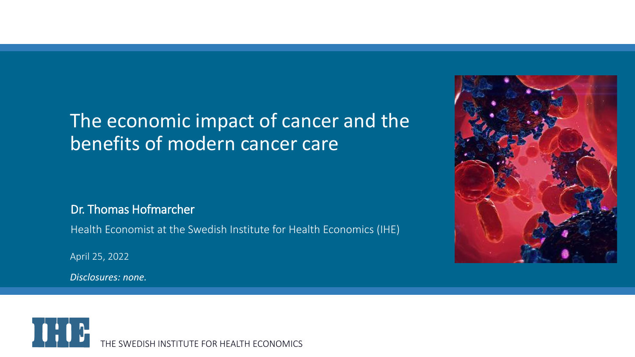### The economic impact of cancer and the benefits of modern cancer care

Dr. Thomas Hofmarcher

Health Economist at the Swedish Institute for Health Economics (IHE)

April 25, 2022

*Disclosures: none.*



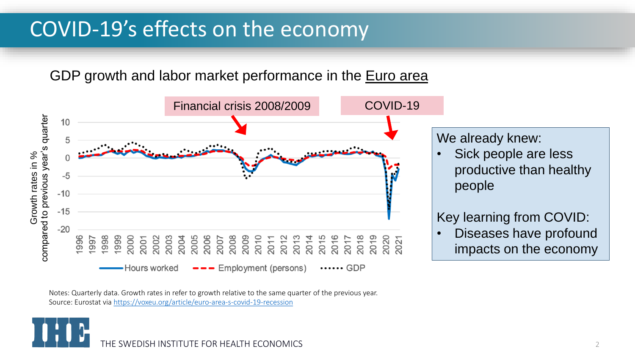# COVID-19's effects on the economy

GDP growth and labor market performance in the **Euro area** 



Notes: Quarterly data. Growth rates in refer to growth relative to the same quarter of the previous year. Source: Eurostat via <https://voxeu.org/article/euro-area-s-covid-19-recession>

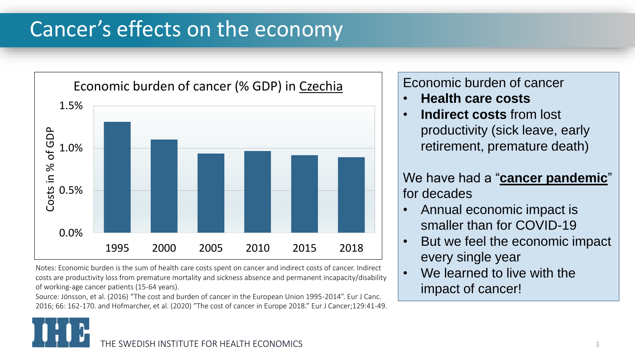# Cancer's effects on the economy



Notes: Economic burden is the sum of health care costs spent on cancer and indirect costs of cancer. Indirect costs are productivity loss from premature mortality and sickness absence and permanent incapacity/disability of working-age cancer patients (15-64 years).

Source: Jönsson, et al. (2016) "The cost and burden of cancer in the European Union 1995-2014". Eur J Canc. 2016; 66: 162-170. and Hofmarcher, et al. (2020) "The cost of cancer in Europe 2018." Eur J Cancer;129:41-49.

### Economic burden of cancer

- **Health care costs**
- **Indirect costs from lost** productivity (sick leave, early retirement, premature death)

We have had a "**cancer pandemic**" for decades

- Annual economic impact is smaller than for COVID-19
- But we feel the economic impact every single year
- We learned to live with the impact of cancer!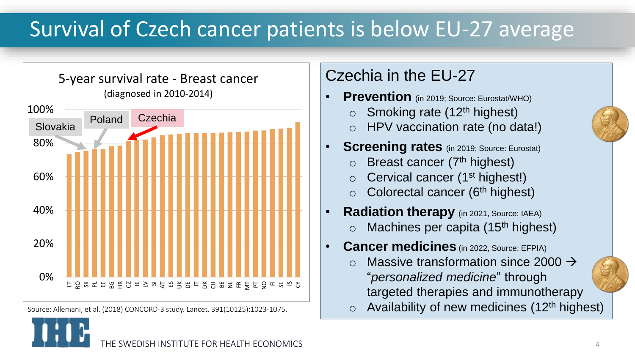# Survival of Czech cancer patients is below EU-27 average



Source: Allemani, et al. (2018) CONCORD-3 study. Lancet. 391(10125):1023-1075.

### Czechia in the EU-27

- **Prevention** (in 2019; Source: Eurostat/WHO)
	- $\circ$  Smoking rate (12<sup>th</sup> highest)
	- o HPV vaccination rate (no data!)
- **Screening rates** (in 2019; Source: Eurostat)
	- $\circ$  Breast cancer (7<sup>th</sup> highest)
	- $\circ$  Cervical cancer (1<sup>st</sup> highest!)
	- $\circ$  Colorectal cancer (6<sup>th</sup> highest)
- **Radiation therapy** (in 2021, Source: IAEA)
	- $\circ$  Machines per capita (15<sup>th</sup> highest)
- **Cancer medicines** (in 2022, Source: EFPIA)
	- Massive transformation since 2000  $\rightarrow$ "*personalized medicine*" through targeted therapies and immunotherapy
	- $\circ$  Availability of new medicines (12<sup>th</sup> highest)

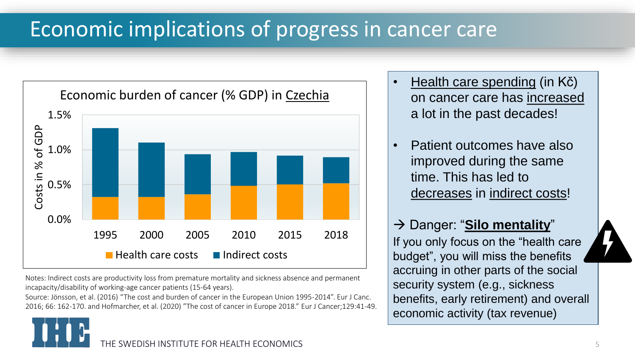# Economic implications of progress in cancer care



Notes: Indirect costs are productivity loss from premature mortality and sickness absence and permanent incapacity/disability of working-age cancer patients (15-64 years).

Source: Jönsson, et al. (2016) "The cost and burden of cancer in the European Union 1995-2014". Eur J Canc. 2016; 66: 162-170. and Hofmarcher, et al. (2020) "The cost of cancer in Europe 2018." Eur J Cancer;129:41-49.

- Health care spending (in Kč) on cancer care has increased a lot in the past decades!
- Patient outcomes have also improved during the same time. This has led to decreases in indirect costs!

→ Danger: "**Silo mentality**" If you only focus on the "health care budget", you will miss the benefits accruing in other parts of the social security system (e.g., sickness benefits, early retirement) and overall economic activity (tax revenue)

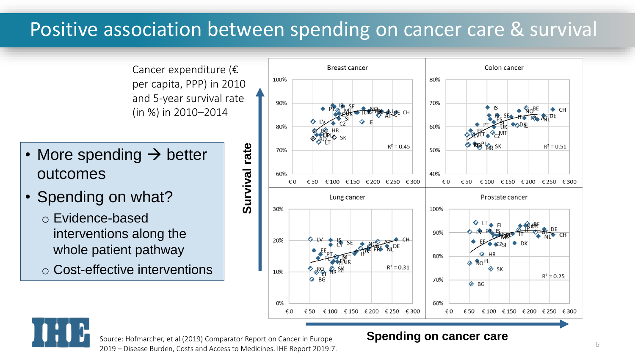## Positive association between spending on cancer care & survival

Cancer expenditure (€ per capita, PPP) in 2010 and 5-year survival rate (in %) in 2010–2014

- More spending  $\rightarrow$  better outcomes
- Spending on what?
	- o Evidence-based interventions along the whole patient pathway
	- o Cost-effective interventions





ource: Homiarcher, et al (2015) Comparator Report on Cancer in Europe<br>2019 – Disease Burden, Costs and Access to Medicines. IHE Report 2019:7. Source: Hofmarcher, et al (2019) Comparator Report on Cancer in Europe

#### **Spending on cancer care**